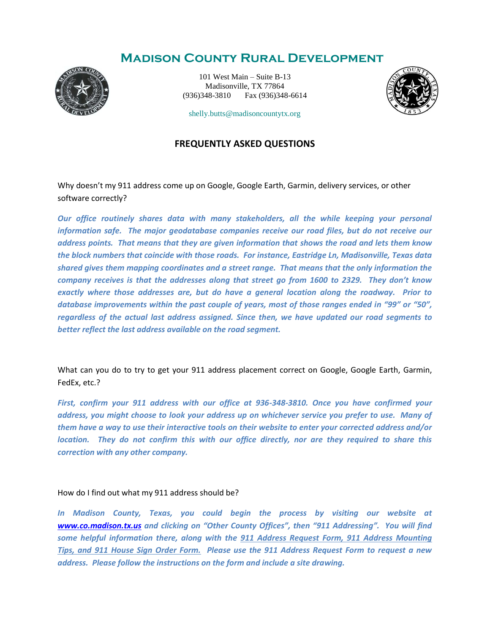## **Madison County Rural Development**



101 West Main – Suite B-13 Madisonville, TX 77864 (936)348-3810 Fax (936)348-6614



shelly.butts@madisoncountytx.org

### **FREQUENTLY ASKED QUESTIONS**

Why doesn't my 911 address come up on Google, Google Earth, Garmin, delivery services, or other software correctly?

*Our office routinely shares data with many stakeholders, all the while keeping your personal information safe. The major geodatabase companies receive our road files, but do not receive our address points. That means that they are given information that shows the road and lets them know the block numbers that coincide with those roads. For instance, Eastridge Ln, Madisonville, Texas data shared gives them mapping coordinates and a street range. That means that the only information the company receives is that the addresses along that street go from 1600 to 2329. They don't know exactly where those addresses are, but do have a general location along the roadway. Prior to database improvements within the past couple of years, most of those ranges ended in "99" or "50", regardless of the actual last address assigned. Since then, we have updated our road segments to better reflect the last address available on the road segment.* 

What can you do to try to get your 911 address placement correct on Google, Google Earth, Garmin, FedEx, etc.?

*First, confirm your 911 address with our office at 936-348-3810. Once you have confirmed your address, you might choose to look your address up on whichever service you prefer to use. Many of them have a way to use their interactive tools on their website to enter your corrected address and/or location. They do not confirm this with our office directly, nor are they required to share this correction with any other company.*

#### How do I find out what my 911 address should be?

*In Madison County, Texas, you could begin the process by visiting our website at [www.co.madison.tx.us](http://www.co.madison.tx.us/) and clicking on "Other County Offices", then "911 Addressing". You will find some helpful information there, along with the 911 Address Request Form, 911 Address Mounting Tips, and 911 House Sign Order Form. Please use the 911 Address Request Form to request a new address. Please follow the instructions on the form and include a site drawing.*